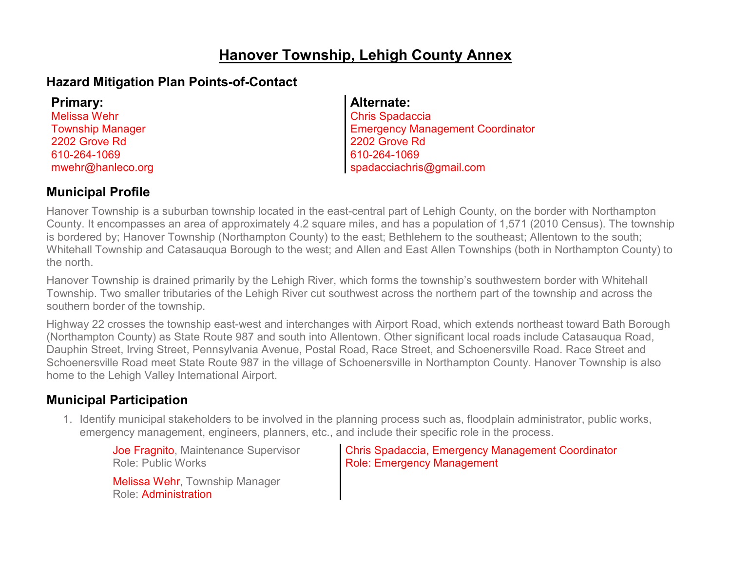## **Hanover Township, Lehigh County Annex**

## **Hazard Mitigation Plan Points-of-Contact**

| Primary:                |
|-------------------------|
| <b>Melissa Wehr</b>     |
| <b>Township Manager</b> |
| 2202 Grove Rd           |
| 610-264-1069            |
| mwehr@hanleco.org       |
|                         |

**Primary:**

### **Alternate:**

Chris Spadaccia Emergency Management Coordinator 2202 Grove Rd 610-264-1069 spadacciachris@gmail.com

## **Municipal Profile**

Hanover Township is a suburban township located in the east-central part of Lehigh County, on the border with Northampton County. It encompasses an area of approximately 4.2 square miles, and has a population of 1,571 (2010 Census). The township is bordered by; Hanover Township (Northampton County) to the east; Bethlehem to the southeast; Allentown to the south; Whitehall Township and Catasauqua Borough to the west; and Allen and East Allen Townships (both in Northampton County) to the north.

Hanover Township is drained primarily by the Lehigh River, which forms the township's southwestern border with Whitehall Township. Two smaller tributaries of the Lehigh River cut southwest across the northern part of the township and across the southern border of the township.

Highway 22 crosses the township east-west and interchanges with Airport Road, which extends northeast toward Bath Borough (Northampton County) as State Route 987 and south into Allentown. Other significant local roads include Catasauqua Road, Dauphin Street, Irving Street, Pennsylvania Avenue, Postal Road, Race Street, and Schoenersville Road. Race Street and Schoenersville Road meet State Route 987 in the village of Schoenersville in Northampton County. Hanover Township is also home to the Lehigh Valley International Airport.

## **Municipal Participation**

1. Identify municipal stakeholders to be involved in the planning process such as, floodplain administrator, public works, emergency management, engineers, planners, etc., and include their specific role in the process.

Joe Fragnito, Maintenance Supervisor Role: Public Works

Melissa Wehr, Township Manager Role: Administration

Chris Spadaccia, Emergency Management Coordinator Role: Emergency Management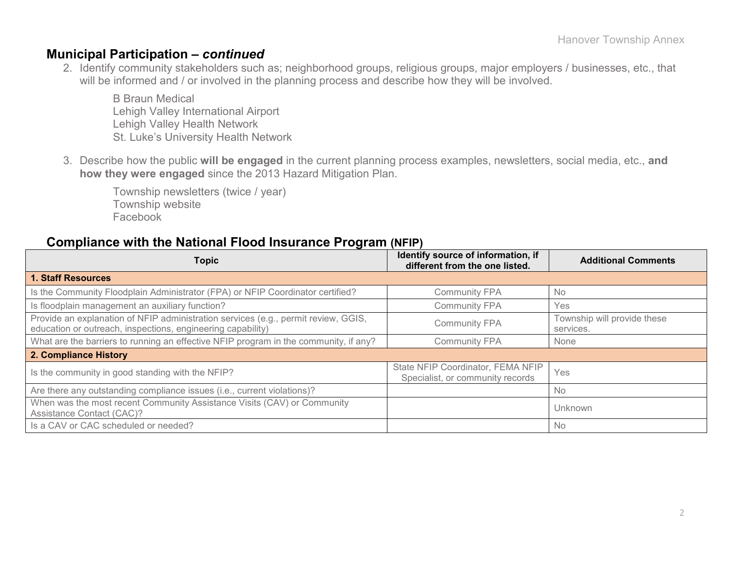### **Municipal Participation –** *continued*

2. Identify community stakeholders such as; neighborhood groups, religious groups, major employers / businesses, etc., that will be informed and / or involved in the planning process and describe how they will be involved.

B Braun Medical Lehigh Valley International Airport Lehigh Valley Health Network St. Luke's University Health Network

3. Describe how the public **will be engaged** in the current planning process examples, newsletters, social media, etc., **and how they were engaged** since the 2013 Hazard Mitigation Plan.

Township newsletters (twice / year) Township website Facebook

### **Compliance with the National Flood Insurance Program (NFIP)**

| <b>Topic</b>                                                                                                                                      | Identify source of information, if<br>different from the one listed.  | <b>Additional Comments</b>               |
|---------------------------------------------------------------------------------------------------------------------------------------------------|-----------------------------------------------------------------------|------------------------------------------|
| <b>1. Staff Resources</b>                                                                                                                         |                                                                       |                                          |
| Is the Community Floodplain Administrator (FPA) or NFIP Coordinator certified?                                                                    | <b>Community FPA</b>                                                  | <b>No</b>                                |
| Is floodplain management an auxiliary function?                                                                                                   | <b>Community FPA</b>                                                  | Yes                                      |
| Provide an explanation of NFIP administration services (e.g., permit review, GGIS,<br>education or outreach, inspections, engineering capability) | <b>Community FPA</b>                                                  | Township will provide these<br>services. |
| What are the barriers to running an effective NFIP program in the community, if any?                                                              | <b>Community FPA</b>                                                  | None                                     |
| 2. Compliance History                                                                                                                             |                                                                       |                                          |
| Is the community in good standing with the NFIP?                                                                                                  | State NFIP Coordinator, FEMA NFIP<br>Specialist, or community records | Yes                                      |
| Are there any outstanding compliance issues (i.e., current violations)?                                                                           |                                                                       | <b>No</b>                                |
| When was the most recent Community Assistance Visits (CAV) or Community<br>Assistance Contact (CAC)?                                              |                                                                       | Unknown                                  |
| Is a CAV or CAC scheduled or needed?                                                                                                              |                                                                       | <b>No</b>                                |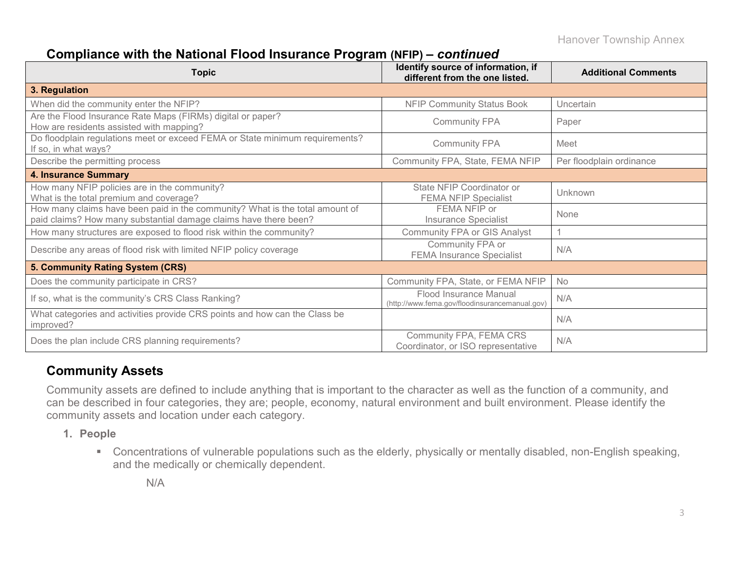## **Compliance with the National Flood Insurance Program (NFIP) –** *continued*

| <b>Topic</b>                                                                                                                                     | Identify source of information, if<br>different from the one listed.     | <b>Additional Comments</b> |
|--------------------------------------------------------------------------------------------------------------------------------------------------|--------------------------------------------------------------------------|----------------------------|
| 3. Regulation                                                                                                                                    |                                                                          |                            |
| When did the community enter the NFIP?                                                                                                           | <b>NFIP Community Status Book</b>                                        | Uncertain                  |
| Are the Flood Insurance Rate Maps (FIRMs) digital or paper?<br>How are residents assisted with mapping?                                          | <b>Community FPA</b>                                                     | Paper                      |
| Do floodplain regulations meet or exceed FEMA or State minimum requirements?<br>If so, in what ways?                                             | <b>Community FPA</b>                                                     | Meet                       |
| Describe the permitting process                                                                                                                  | Community FPA, State, FEMA NFIP                                          | Per floodplain ordinance   |
| <b>4. Insurance Summary</b>                                                                                                                      |                                                                          |                            |
| How many NFIP policies are in the community?<br>What is the total premium and coverage?                                                          | State NFIP Coordinator or<br><b>FEMA NFIP Specialist</b>                 | Unknown                    |
| How many claims have been paid in the community? What is the total amount of<br>paid claims? How many substantial damage claims have there been? | FEMA NFIP or<br><b>Insurance Specialist</b>                              | None                       |
| How many structures are exposed to flood risk within the community?                                                                              | <b>Community FPA or GIS Analyst</b>                                      |                            |
| Describe any areas of flood risk with limited NFIP policy coverage                                                                               | Community FPA or<br><b>FEMA Insurance Specialist</b>                     | N/A                        |
| 5. Community Rating System (CRS)                                                                                                                 |                                                                          |                            |
| Does the community participate in CRS?                                                                                                           | Community FPA, State, or FEMA NFIP                                       | No                         |
| If so, what is the community's CRS Class Ranking?                                                                                                | Flood Insurance Manual<br>(http://www.fema.gov/floodinsurancemanual.gov) | N/A                        |
| What categories and activities provide CRS points and how can the Class be<br>improved?                                                          |                                                                          | N/A                        |
| Does the plan include CRS planning requirements?                                                                                                 | Community FPA, FEMA CRS<br>Coordinator, or ISO representative            | N/A                        |

## **Community Assets**

Community assets are defined to include anything that is important to the character as well as the function of a community, and can be described in four categories, they are; people, economy, natural environment and built environment. Please identify the community assets and location under each category.

- **1. People**
	- Concentrations of vulnerable populations such as the elderly, physically or mentally disabled, non-English speaking, and the medically or chemically dependent.

N/A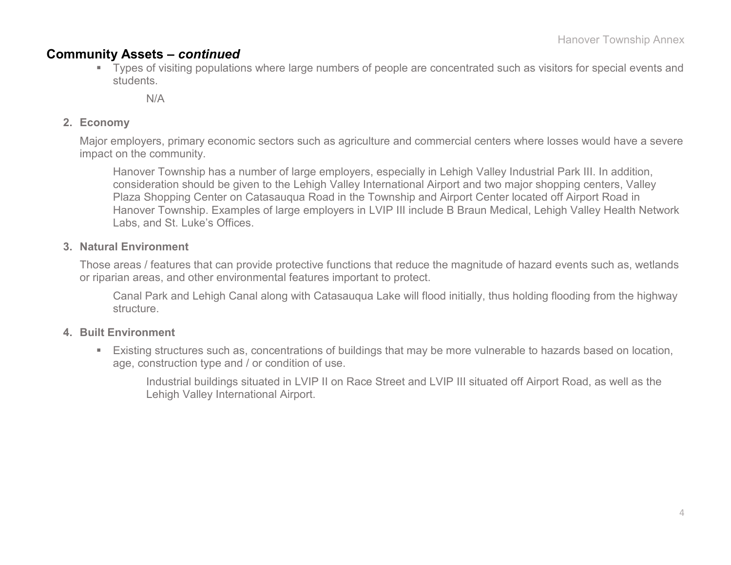### **Community Assets –** *continued*

 Types of visiting populations where large numbers of people are concentrated such as visitors for special events and students.

 $N/A$ 

### **2. Economy**

Major employers, primary economic sectors such as agriculture and commercial centers where losses would have a severe impact on the community.

Hanover Township has a number of large employers, especially in Lehigh Valley Industrial Park III. In addition, consideration should be given to the Lehigh Valley International Airport and two major shopping centers, Valley Plaza Shopping Center on Catasauqua Road in the Township and Airport Center located off Airport Road in Hanover Township. Examples of large employers in LVIP III include B Braun Medical, Lehigh Valley Health Network Labs, and St. Luke's Offices.

### **3. Natural Environment**

Those areas / features that can provide protective functions that reduce the magnitude of hazard events such as, wetlands or riparian areas, and other environmental features important to protect.

Canal Park and Lehigh Canal along with Catasauqua Lake will flood initially, thus holding flooding from the highway structure.

### **4. Built Environment**

 Existing structures such as, concentrations of buildings that may be more vulnerable to hazards based on location, age, construction type and / or condition of use.

Industrial buildings situated in LVIP II on Race Street and LVIP III situated off Airport Road, as well as the Lehigh Valley International Airport.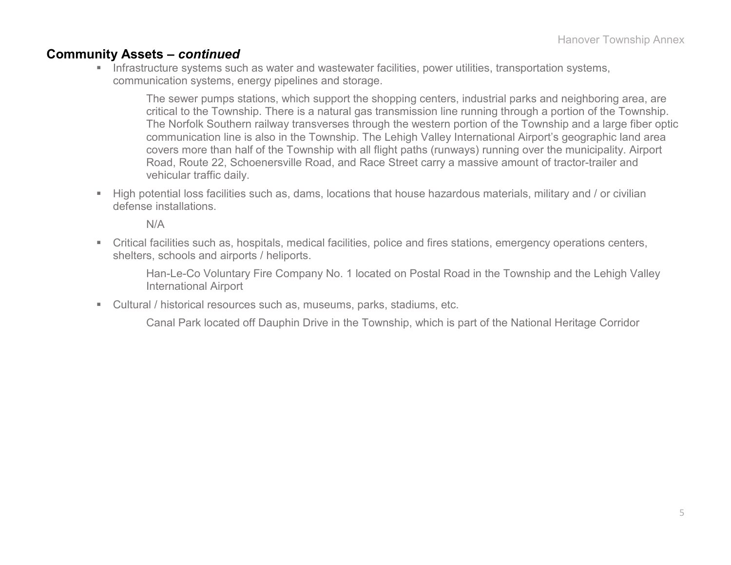### **Community Assets –** *continued*

**Infrastructure systems such as water and wastewater facilities, power utilities, transportation systems,** communication systems, energy pipelines and storage.

The sewer pumps stations, which support the shopping centers, industrial parks and neighboring area, are critical to the Township. There is a natural gas transmission line running through a portion of the Township. The Norfolk Southern railway transverses through the western portion of the Township and a large fiber optic communication line is also in the Township. The Lehigh Valley International Airport's geographic land area covers more than half of the Township with all flight paths (runways) running over the municipality. Airport Road, Route 22, Schoenersville Road, and Race Street carry a massive amount of tractor-trailer and vehicular traffic daily.

 High potential loss facilities such as, dams, locations that house hazardous materials, military and / or civilian defense installations.

N/A

 Critical facilities such as, hospitals, medical facilities, police and fires stations, emergency operations centers, shelters, schools and airports / heliports.

Han-Le-Co Voluntary Fire Company No. 1 located on Postal Road in the Township and the Lehigh Valley International Airport

Cultural / historical resources such as, museums, parks, stadiums, etc.

Canal Park located off Dauphin Drive in the Township, which is part of the National Heritage Corridor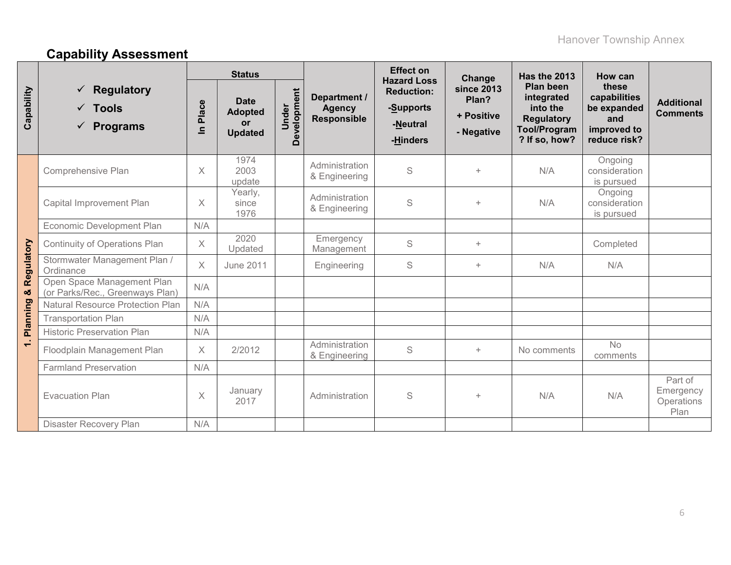# **Capability Assessment**

|              |                                                                                | <b>Status</b>     |                                                       |                      |                                                     | <b>Effect on</b><br><b>Hazard Loss</b>                 | Change                                          | <b>Has the 2013</b>                                                                                     | How can                                                                    |                                            |
|--------------|--------------------------------------------------------------------------------|-------------------|-------------------------------------------------------|----------------------|-----------------------------------------------------|--------------------------------------------------------|-------------------------------------------------|---------------------------------------------------------------------------------------------------------|----------------------------------------------------------------------------|--------------------------------------------|
| Capability   | <b>Regulatory</b><br>✓<br><b>Tools</b><br>$\checkmark$<br><b>Programs</b><br>✓ | Place<br>$\equiv$ | <b>Date</b><br><b>Adopted</b><br>or<br><b>Updated</b> | Development<br>Under | Department /<br><b>Agency</b><br><b>Responsible</b> | <b>Reduction:</b><br>-Supports<br>-Neutral<br>-Hinders | since 2013<br>Plan?<br>+ Positive<br>- Negative | <b>Plan been</b><br>integrated<br>into the<br><b>Regulatory</b><br><b>Tool/Program</b><br>? If so, how? | these<br>capabilities<br>be expanded<br>and<br>improved to<br>reduce risk? | <b>Additional</b><br><b>Comments</b>       |
|              | Comprehensive Plan                                                             | $\times$          | 1974<br>2003<br>update                                |                      | Administration<br>& Engineering                     | S                                                      | $+$                                             | N/A                                                                                                     | Ongoing<br>consideration<br>is pursued                                     |                                            |
|              | Capital Improvement Plan                                                       | $\times$          | Yearly,<br>since<br>1976                              |                      | Administration<br>& Engineering                     | S                                                      | $+$                                             | N/A                                                                                                     | Ongoing<br>consideration<br>is pursued                                     |                                            |
|              | Economic Development Plan                                                      | N/A               |                                                       |                      |                                                     |                                                        |                                                 |                                                                                                         |                                                                            |                                            |
|              | <b>Continuity of Operations Plan</b>                                           | $\times$          | 2020<br>Updated                                       |                      | Emergency<br>Management                             | S                                                      | $+$                                             |                                                                                                         | Completed                                                                  |                                            |
| Regulatory   | Stormwater Management Plan /<br>Ordinance                                      | $\times$          | <b>June 2011</b>                                      |                      | Engineering                                         | S                                                      | $+$                                             | N/A                                                                                                     | N/A                                                                        |                                            |
| ×            | Open Space Management Plan<br>(or Parks/Rec., Greenways Plan)                  | N/A               |                                                       |                      |                                                     |                                                        |                                                 |                                                                                                         |                                                                            |                                            |
| Planning     | <b>Natural Resource Protection Plan</b>                                        | N/A               |                                                       |                      |                                                     |                                                        |                                                 |                                                                                                         |                                                                            |                                            |
|              | <b>Transportation Plan</b>                                                     | N/A               |                                                       |                      |                                                     |                                                        |                                                 |                                                                                                         |                                                                            |                                            |
|              | <b>Historic Preservation Plan</b>                                              | N/A               |                                                       |                      |                                                     |                                                        |                                                 |                                                                                                         |                                                                            |                                            |
| $\leftarrow$ | Floodplain Management Plan                                                     | $\times$          | 2/2012                                                |                      | Administration<br>& Engineering                     | S                                                      | $+$                                             | No comments                                                                                             | <b>No</b><br>comments                                                      |                                            |
|              | <b>Farmland Preservation</b>                                                   | N/A               |                                                       |                      |                                                     |                                                        |                                                 |                                                                                                         |                                                                            |                                            |
|              | <b>Evacuation Plan</b>                                                         | $\times$          | January<br>2017                                       |                      | Administration                                      | S                                                      | $\ddot{}$                                       |                                                                                                         | N/A                                                                        | Part of<br>Emergency<br>Operations<br>Plan |
|              | Disaster Recovery Plan                                                         | N/A               |                                                       |                      |                                                     |                                                        |                                                 |                                                                                                         |                                                                            |                                            |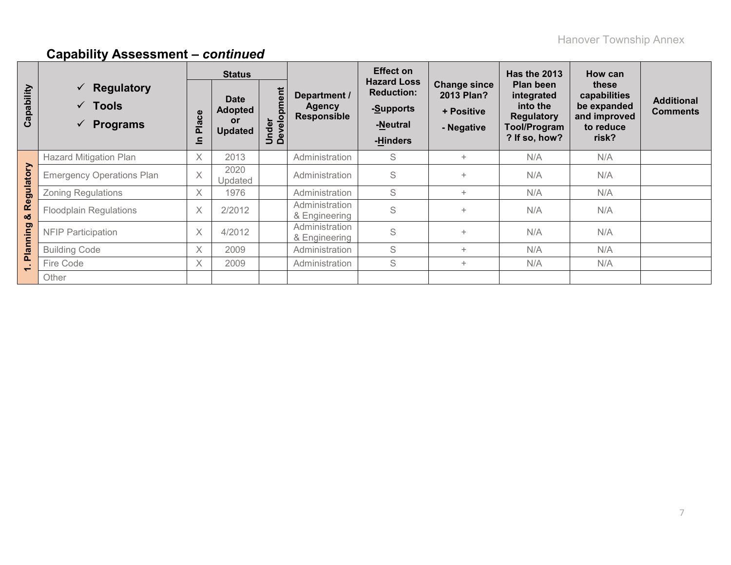|                          |                                                                                   |                                            | <b>Status</b>                                         |                      |                                              | <b>Effect on</b>                                                             |                                                               | <b>Has the 2013</b>                                                                              | How can                                                                    |                                      |
|--------------------------|-----------------------------------------------------------------------------------|--------------------------------------------|-------------------------------------------------------|----------------------|----------------------------------------------|------------------------------------------------------------------------------|---------------------------------------------------------------|--------------------------------------------------------------------------------------------------|----------------------------------------------------------------------------|--------------------------------------|
| Capability               | Regulatory<br>$\checkmark$<br>$\sqrt{ }$ Tools<br><b>Programs</b><br>$\checkmark$ | ace<br>$\ddot{\overline{\mathbf{a}}}$<br>드 | <b>Date</b><br><b>Adopted</b><br>or<br><b>Updated</b> | Under<br>Development | Department /<br><b>Agency</b><br>Responsible | <b>Hazard Loss</b><br><b>Reduction:</b><br>-Supports<br>-Neutral<br>-Hinders | <b>Change since</b><br>2013 Plan?<br>+ Positive<br>- Negative | Plan been<br>integrated<br>into the<br><b>Regulatory</b><br><b>Tool/Program</b><br>? If so, how? | these<br>capabilities<br>be expanded<br>and improved<br>to reduce<br>risk? | <b>Additional</b><br><b>Comments</b> |
| Regulatory               | <b>Hazard Mitigation Plan</b>                                                     | $\times$                                   | 2013                                                  |                      | Administration                               | S                                                                            | $+$                                                           | N/A                                                                                              | N/A                                                                        |                                      |
|                          | <b>Emergency Operations Plan</b>                                                  | $\times$                                   | 2020<br>Updated                                       |                      | Administration                               | S                                                                            | $\ddot{}$                                                     | N/A                                                                                              | N/A                                                                        |                                      |
|                          | <b>Zoning Regulations</b>                                                         | $\times$                                   | 1976                                                  |                      | Administration                               | S                                                                            | $+$                                                           | N/A                                                                                              | N/A                                                                        |                                      |
| ೲ                        | <b>Floodplain Regulations</b>                                                     | $\times$                                   | 2/2012                                                |                      | Administration<br>& Engineering              | S                                                                            | $\ddot{}$                                                     | N/A                                                                                              | N/A                                                                        |                                      |
| <b>Planning</b>          | <b>NFIP Participation</b>                                                         | $\times$                                   | 4/2012                                                |                      | Administration<br>& Engineering              | S                                                                            | N/A<br>$\ddot{}$                                              |                                                                                                  | N/A                                                                        |                                      |
|                          | <b>Building Code</b>                                                              | $\times$                                   | 2009                                                  |                      | Administration                               | S                                                                            | $+$                                                           | N/A                                                                                              | N/A                                                                        |                                      |
| $\overline{\phantom{0}}$ | Fire Code                                                                         | X                                          | 2009                                                  |                      | Administration                               | S                                                                            | $+$                                                           | N/A                                                                                              | N/A                                                                        |                                      |
|                          | Other                                                                             |                                            |                                                       |                      |                                              |                                                                              |                                                               |                                                                                                  |                                                                            |                                      |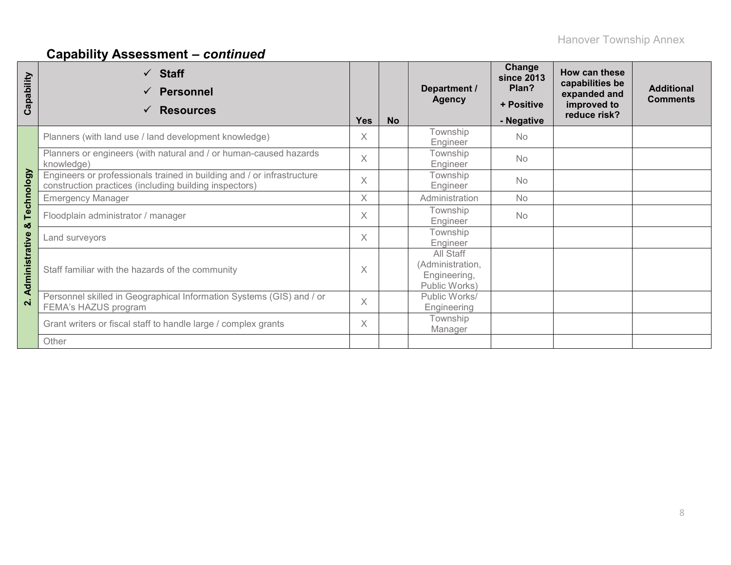| Capability     | $\checkmark$ Staff<br><b>Personnel</b><br><b>Resources</b><br>✓                                                                  | <b>Yes</b> | <b>No</b> | Department /<br><b>Agency</b>                                  | Change<br><b>since 2013</b><br>Plan?<br>+ Positive<br>- Negative | How can these<br>capabilities be<br>expanded and<br>improved to<br>reduce risk? | <b>Additional</b><br><b>Comments</b> |
|----------------|----------------------------------------------------------------------------------------------------------------------------------|------------|-----------|----------------------------------------------------------------|------------------------------------------------------------------|---------------------------------------------------------------------------------|--------------------------------------|
|                | Planners (with land use / land development knowledge)                                                                            | $\times$   |           | Township<br>Engineer                                           | <b>No</b>                                                        |                                                                                 |                                      |
|                | Planners or engineers (with natural and / or human-caused hazards<br>knowledge)                                                  | $\times$   |           | Township<br>Engineer                                           | <b>No</b>                                                        |                                                                                 |                                      |
| Technology     | Engineers or professionals trained in building and / or infrastructure<br>construction practices (including building inspectors) | $\times$   |           | Township<br>Engineer                                           | <b>No</b>                                                        |                                                                                 |                                      |
|                | <b>Emergency Manager</b>                                                                                                         | $\times$   |           | Administration                                                 | <b>No</b>                                                        |                                                                                 |                                      |
| ×              | Floodplain administrator / manager                                                                                               | $\times$   |           | Township<br>Engineer                                           | <b>No</b>                                                        |                                                                                 |                                      |
|                | Land surveyors                                                                                                                   | $\times$   |           | Township<br>Engineer                                           |                                                                  |                                                                                 |                                      |
| Administrative | Staff familiar with the hazards of the community                                                                                 | X          |           | All Staff<br>(Administration,<br>Engineering,<br>Public Works) |                                                                  |                                                                                 |                                      |
| $\mathbf{N}$   | Personnel skilled in Geographical Information Systems (GIS) and / or<br>FEMA's HAZUS program                                     | $\times$   |           | Public Works/<br>Engineering                                   |                                                                  |                                                                                 |                                      |
|                | Grant writers or fiscal staff to handle large / complex grants                                                                   | $\times$   |           | Township<br>Manager                                            |                                                                  |                                                                                 |                                      |
|                | Other                                                                                                                            |            |           |                                                                |                                                                  |                                                                                 |                                      |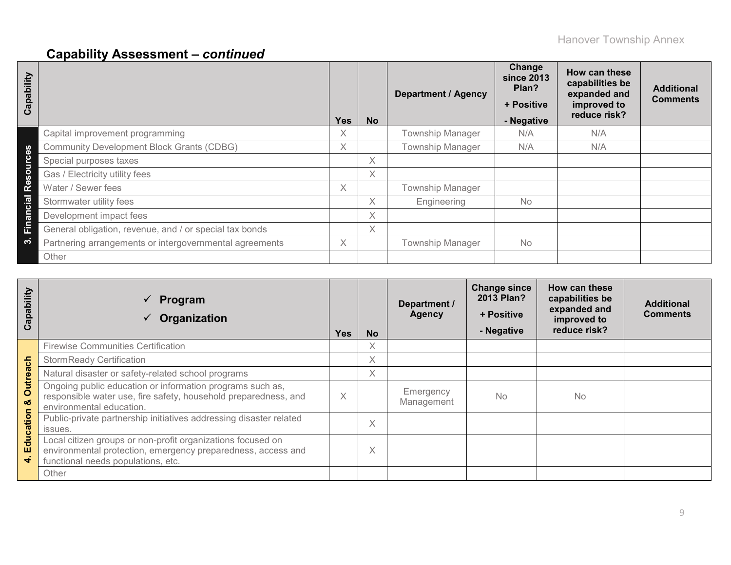| Capability            |                                                         | <b>Yes</b>         | <b>No</b> | <b>Department / Agency</b> | Change<br>since 2013<br>Plan?<br>+ Positive<br>- Negative | How can these<br>capabilities be<br>expanded and<br>improved to<br>reduce risk? | <b>Additional</b><br><b>Comments</b> |
|-----------------------|---------------------------------------------------------|--------------------|-----------|----------------------------|-----------------------------------------------------------|---------------------------------------------------------------------------------|--------------------------------------|
|                       | Capital improvement programming                         | $\checkmark$<br>A. |           | <b>Township Manager</b>    | N/A                                                       | N/A                                                                             |                                      |
| <b>S</b>              | <b>Community Development Block Grants (CDBG)</b>        | Χ                  |           | <b>Township Manager</b>    | N/A                                                       | N/A                                                                             |                                      |
| š                     | Special purposes taxes                                  |                    | X         |                            |                                                           |                                                                                 |                                      |
| $\Omega$<br><b>SC</b> | Gas / Electricity utility fees                          |                    | X         |                            |                                                           |                                                                                 |                                      |
| $\Phi$<br>œ           | Water / Sewer fees                                      | $\times$           |           | <b>Township Manager</b>    |                                                           |                                                                                 |                                      |
| cial                  | Stormwater utility fees                                 |                    | X         | Engineering                | No                                                        |                                                                                 |                                      |
| Finan                 | Development impact fees                                 |                    | X         |                            |                                                           |                                                                                 |                                      |
|                       | General obligation, revenue, and / or special tax bonds |                    | X         |                            |                                                           |                                                                                 |                                      |
| က                     | Partnering arrangements or intergovernmental agreements | X                  |           | <b>Township Manager</b>    | No                                                        |                                                                                 |                                      |
|                       | Other                                                   |                    |           |                            |                                                           |                                                                                 |                                      |

| Capability          | $\checkmark$ Program<br>Organization<br>✓                                                                                                                         | <b>Yes</b> | <b>No</b>         | Department /<br><b>Agency</b> | <b>Change since</b><br>2013 Plan?<br>+ Positive<br>- Negative | How can these<br>capabilities be<br>expanded and<br>improved to<br>reduce risk? | <b>Additional</b><br><b>Comments</b> |
|---------------------|-------------------------------------------------------------------------------------------------------------------------------------------------------------------|------------|-------------------|-------------------------------|---------------------------------------------------------------|---------------------------------------------------------------------------------|--------------------------------------|
|                     | <b>Firewise Communities Certification</b>                                                                                                                         |            | $\times$          |                               |                                                               |                                                                                 |                                      |
| 둥                   | <b>StormReady Certification</b>                                                                                                                                   |            | X                 |                               |                                                               |                                                                                 |                                      |
|                     | Natural disaster or safety-related school programs                                                                                                                |            | X                 |                               |                                                               |                                                                                 |                                      |
| <b>Outrea</b><br>οö | Ongoing public education or information programs such as,<br>responsible water use, fire safety, household preparedness, and<br>environmental education.          | X          |                   | Emergency<br>Management       | <b>No</b>                                                     | <b>No</b>                                                                       |                                      |
| ducation            | Public-private partnership initiatives addressing disaster related<br>issues.                                                                                     |            | X                 |                               |                                                               |                                                                                 |                                      |
| Ш<br>÷              | Local citizen groups or non-profit organizations focused on<br>environmental protection, emergency preparedness, access and<br>functional needs populations, etc. |            | $\checkmark$<br>⋏ |                               |                                                               |                                                                                 |                                      |
|                     | Other                                                                                                                                                             |            |                   |                               |                                                               |                                                                                 |                                      |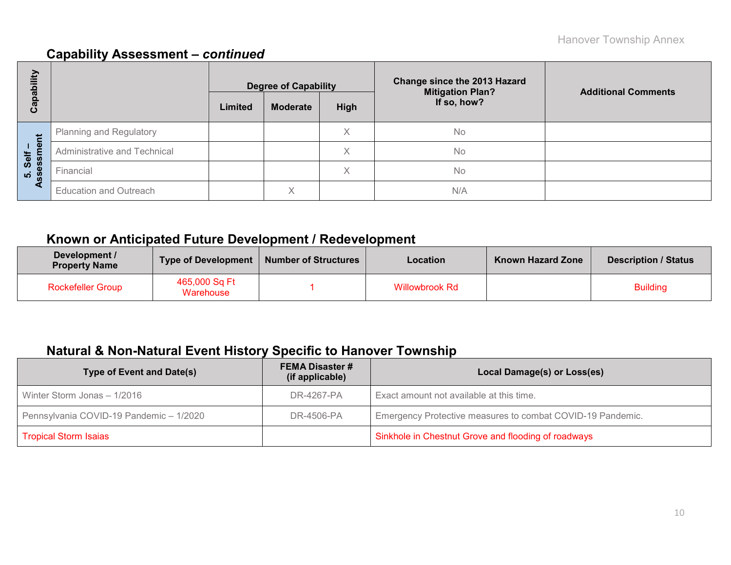| Ë<br>ھ            |                               | <b>Degree of Capability</b> |                 |                   | <b>Change since the 2013 Hazard</b><br><b>Mitigation Plan?</b> | <b>Additional Comments</b> |
|-------------------|-------------------------------|-----------------------------|-----------------|-------------------|----------------------------------------------------------------|----------------------------|
| <u>թզ</u><br>ပိ   |                               | Limited                     | <b>Moderate</b> | High              | If so, how?                                                    |                            |
|                   | Planning and Regulatory       |                             |                 | Χ                 | <b>No</b>                                                      |                            |
| Self –<br>essment | Administrative and Technical  |                             |                 | $\checkmark$<br>∧ | No                                                             |                            |
| <u>ທີ່ 8</u>      | Financial                     |                             |                 | ∧                 | No                                                             |                            |
| ◀                 | <b>Education and Outreach</b> |                             | X               |                   | N/A                                                            |                            |

## **Known or Anticipated Future Development / Redevelopment**

| Development /<br><b>Property Name</b> | <b>Type of Development</b> | <b>Number of Structures</b> | <b>Location</b>       | <b>Known Hazard Zone</b> | <b>Description / Status</b> |
|---------------------------------------|----------------------------|-----------------------------|-----------------------|--------------------------|-----------------------------|
| <b>Rockefeller Group</b>              | 465,000 Sq Ft<br>Warehouse |                             | <b>Willowbrook Rd</b> |                          | <b>Building</b>             |

## **Natural & Non-Natural Event History Specific to Hanover Township**

| <b>Type of Event and Date(s)</b>        | <b>FEMA Disaster #</b><br>(if applicable) | Local Damage(s) or Loss(es)                                |
|-----------------------------------------|-------------------------------------------|------------------------------------------------------------|
| Winter Storm Jonas - 1/2016             | DR-4267-PA                                | Exact amount not available at this time.                   |
| Pennsylvania COVID-19 Pandemic - 1/2020 | DR-4506-PA                                | Emergency Protective measures to combat COVID-19 Pandemic. |
| <b>Tropical Storm Isaias</b>            |                                           | Sinkhole in Chestnut Grove and flooding of roadways        |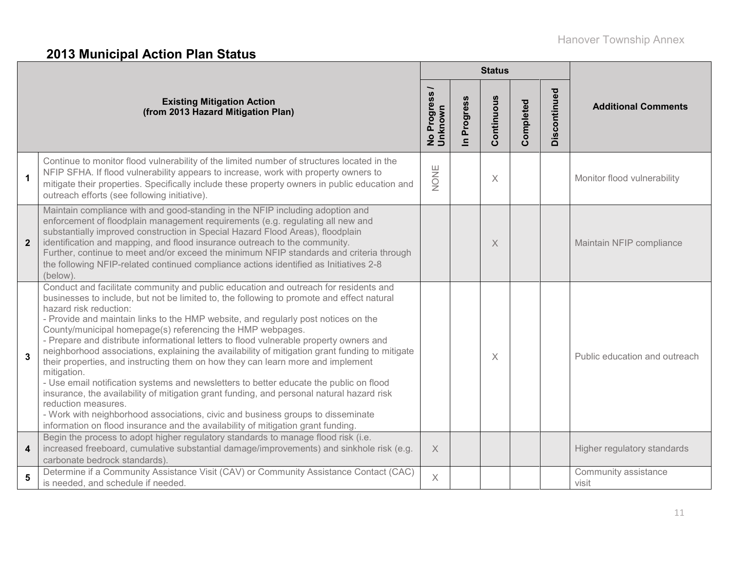# **2013 Municipal Action Plan Status**

|                         |                                                                                                                                                                                                                                                                                                                                                                                                                                                                                                                                                                                                                                                                                                                                                                                                                                                                                                                                                                                                                                                    |                                     |                          | <b>Status</b> |           |              |                               |
|-------------------------|----------------------------------------------------------------------------------------------------------------------------------------------------------------------------------------------------------------------------------------------------------------------------------------------------------------------------------------------------------------------------------------------------------------------------------------------------------------------------------------------------------------------------------------------------------------------------------------------------------------------------------------------------------------------------------------------------------------------------------------------------------------------------------------------------------------------------------------------------------------------------------------------------------------------------------------------------------------------------------------------------------------------------------------------------|-------------------------------------|--------------------------|---------------|-----------|--------------|-------------------------------|
|                         | <b>Existing Mitigation Action</b><br>(from 2013 Hazard Mitigation Plan)                                                                                                                                                                                                                                                                                                                                                                                                                                                                                                                                                                                                                                                                                                                                                                                                                                                                                                                                                                            | No Progress <sub>/</sub><br>Unknown | Progress<br>$\mathbf{a}$ | Continuous    | Completed | Discontinued | <b>Additional Comments</b>    |
| $\mathbf{1}$            | Continue to monitor flood vulnerability of the limited number of structures located in the<br>NFIP SFHA. If flood vulnerability appears to increase, work with property owners to<br>mitigate their properties. Specifically include these property owners in public education and<br>outreach efforts (see following initiative).                                                                                                                                                                                                                                                                                                                                                                                                                                                                                                                                                                                                                                                                                                                 | NONE                                |                          | $\times$      |           |              | Monitor flood vulnerability   |
| $\overline{2}$          | Maintain compliance with and good-standing in the NFIP including adoption and<br>enforcement of floodplain management requirements (e.g. regulating all new and<br>substantially improved construction in Special Hazard Flood Areas), floodplain<br>identification and mapping, and flood insurance outreach to the community.<br>Further, continue to meet and/or exceed the minimum NFIP standards and criteria through<br>the following NFIP-related continued compliance actions identified as Initiatives 2-8<br>(below).                                                                                                                                                                                                                                                                                                                                                                                                                                                                                                                    |                                     |                          | X             |           |              | Maintain NFIP compliance      |
| $\overline{3}$          | Conduct and facilitate community and public education and outreach for residents and<br>businesses to include, but not be limited to, the following to promote and effect natural<br>hazard risk reduction:<br>- Provide and maintain links to the HMP website, and regularly post notices on the<br>County/municipal homepage(s) referencing the HMP webpages.<br>- Prepare and distribute informational letters to flood vulnerable property owners and<br>neighborhood associations, explaining the availability of mitigation grant funding to mitigate<br>their properties, and instructing them on how they can learn more and implement<br>mitigation.<br>- Use email notification systems and newsletters to better educate the public on flood<br>insurance, the availability of mitigation grant funding, and personal natural hazard risk<br>reduction measures.<br>- Work with neighborhood associations, civic and business groups to disseminate<br>information on flood insurance and the availability of mitigation grant funding. |                                     |                          | X             |           |              | Public education and outreach |
| $\overline{\mathbf{4}}$ | Begin the process to adopt higher regulatory standards to manage flood risk (i.e.<br>increased freeboard, cumulative substantial damage/improvements) and sinkhole risk (e.g.<br>carbonate bedrock standards).                                                                                                                                                                                                                                                                                                                                                                                                                                                                                                                                                                                                                                                                                                                                                                                                                                     | X                                   |                          |               |           |              | Higher regulatory standards   |
| 5                       | Determine if a Community Assistance Visit (CAV) or Community Assistance Contact (CAC)<br>is needed, and schedule if needed.                                                                                                                                                                                                                                                                                                                                                                                                                                                                                                                                                                                                                                                                                                                                                                                                                                                                                                                        | $\times$                            |                          |               |           |              | Community assistance<br>visit |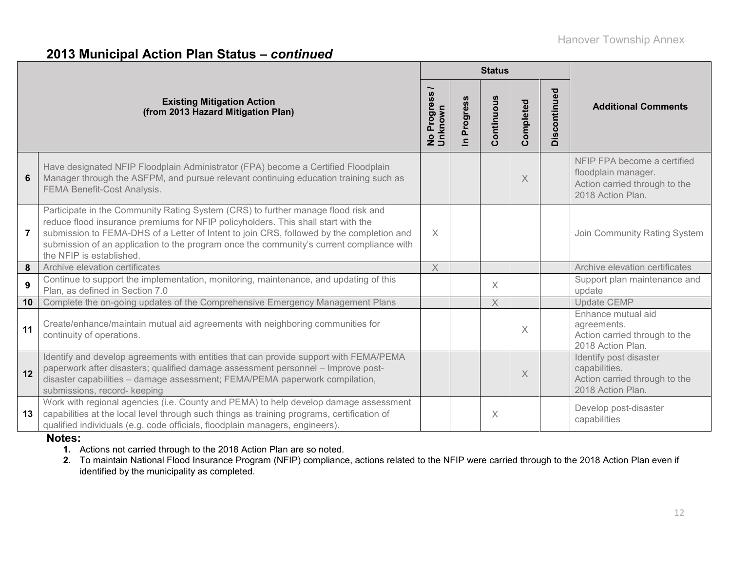## **2013 Municipal Action Plan Status –** *continued*

|                |                                                                                                                                                                                                                                                                                                                                                                                            |                                      |                          | <b>Status</b> |           |              |                                                                                                          |
|----------------|--------------------------------------------------------------------------------------------------------------------------------------------------------------------------------------------------------------------------------------------------------------------------------------------------------------------------------------------------------------------------------------------|--------------------------------------|--------------------------|---------------|-----------|--------------|----------------------------------------------------------------------------------------------------------|
|                | <b>Existing Mitigation Action</b><br>(from 2013 Hazard Mitigation Plan)                                                                                                                                                                                                                                                                                                                    | Progress<br>Unknown<br>$\frac{1}{2}$ | Progress<br>$\mathbf{a}$ | Continuous    | Completed | Discontinued | <b>Additional Comments</b>                                                                               |
| 6              | Have designated NFIP Floodplain Administrator (FPA) become a Certified Floodplain<br>Manager through the ASFPM, and pursue relevant continuing education training such as<br><b>FEMA Benefit-Cost Analysis.</b>                                                                                                                                                                            |                                      |                          |               | $\times$  |              | NFIP FPA become a certified<br>floodplain manager.<br>Action carried through to the<br>2018 Action Plan. |
| $\overline{7}$ | Participate in the Community Rating System (CRS) to further manage flood risk and<br>reduce flood insurance premiums for NFIP policyholders. This shall start with the<br>submission to FEMA-DHS of a Letter of Intent to join CRS, followed by the completion and<br>submission of an application to the program once the community's current compliance with<br>the NFIP is established. | $\times$                             |                          |               |           |              | Join Community Rating System                                                                             |
| 8              | Archive elevation certificates                                                                                                                                                                                                                                                                                                                                                             | X                                    |                          |               |           |              | Archive elevation certificates                                                                           |
| 9              | Continue to support the implementation, monitoring, maintenance, and updating of this<br>Plan, as defined in Section 7.0                                                                                                                                                                                                                                                                   |                                      |                          | X             |           |              | Support plan maintenance and<br>update                                                                   |
| 10             | Complete the on-going updates of the Comprehensive Emergency Management Plans                                                                                                                                                                                                                                                                                                              |                                      |                          | X             |           |              | <b>Update CEMP</b>                                                                                       |
| 11             | Create/enhance/maintain mutual aid agreements with neighboring communities for<br>continuity of operations.                                                                                                                                                                                                                                                                                |                                      |                          |               | X         |              | Enhance mutual aid<br>agreements.<br>Action carried through to the<br>2018 Action Plan.                  |
| 12             | Identify and develop agreements with entities that can provide support with FEMA/PEMA<br>paperwork after disasters; qualified damage assessment personnel - Improve post-<br>disaster capabilities - damage assessment; FEMA/PEMA paperwork compilation,<br>submissions, record- keeping                                                                                                   |                                      |                          |               | X         |              | Identify post disaster<br>capabilities.<br>Action carried through to the<br>2018 Action Plan.            |
| 13             | Work with regional agencies (i.e. County and PEMA) to help develop damage assessment<br>capabilities at the local level through such things as training programs, certification of<br>qualified individuals (e.g. code officials, floodplain managers, engineers).                                                                                                                         |                                      |                          | $\times$      |           |              | Develop post-disaster<br>capabilities                                                                    |

### **Notes:**

**1.** Actions not carried through to the 2018 Action Plan are so noted.

**2.** To maintain National Flood Insurance Program (NFIP) compliance, actions related to the NFIP were carried through to the 2018 Action Plan even if identified by the municipality as completed.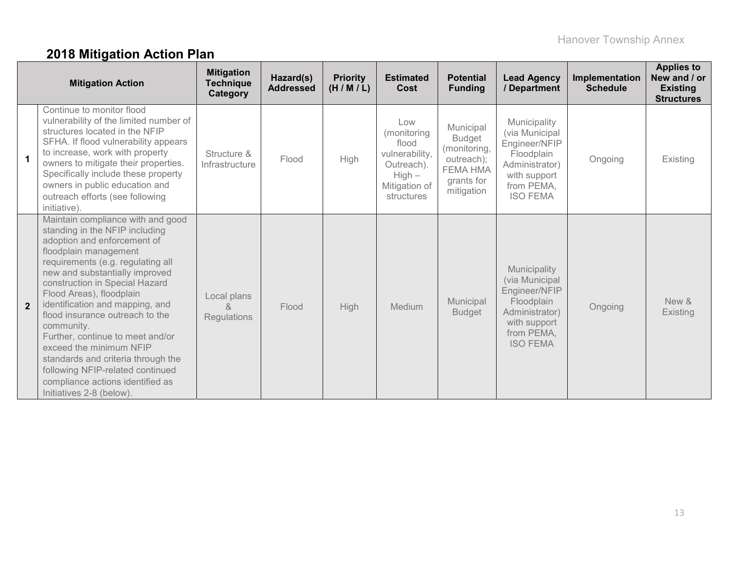# **2018 Mitigation Action Plan**

|                | <b>Mitigation Action</b>                                                                                                                                                                                                                                                                                                                                                                                                                                                                                                                                      | <b>Mitigation</b><br><b>Technique</b><br>Category | Hazard(s)<br><b>Addressed</b> | <b>Priority</b><br>(H/M/L) | <b>Estimated</b><br>Cost                                                                               | <b>Potential</b><br><b>Funding</b>                                                                      | <b>Lead Agency</b><br>/ Department                                                                                               | Implementation<br><b>Schedule</b> | <b>Applies to</b><br>New and / or<br><b>Existing</b><br><b>Structures</b> |
|----------------|---------------------------------------------------------------------------------------------------------------------------------------------------------------------------------------------------------------------------------------------------------------------------------------------------------------------------------------------------------------------------------------------------------------------------------------------------------------------------------------------------------------------------------------------------------------|---------------------------------------------------|-------------------------------|----------------------------|--------------------------------------------------------------------------------------------------------|---------------------------------------------------------------------------------------------------------|----------------------------------------------------------------------------------------------------------------------------------|-----------------------------------|---------------------------------------------------------------------------|
|                | Continue to monitor flood<br>vulnerability of the limited number of<br>structures located in the NFIP<br>SFHA. If flood vulnerability appears<br>to increase, work with property<br>owners to mitigate their properties.<br>Specifically include these property<br>owners in public education and<br>outreach efforts (see following<br>initiative).                                                                                                                                                                                                          | Structure &<br>Infrastructure                     | Flood                         | High                       | Low<br>(monitoring<br>flood<br>vulnerability,<br>Outreach).<br>$High -$<br>Mitigation of<br>structures | Municipal<br><b>Budget</b><br>(monitoring,<br>outreach);<br><b>FEMA HMA</b><br>grants for<br>mitigation | Municipality<br>(via Municipal<br>Engineer/NFIP<br>Floodplain<br>Administrator)<br>with support<br>from PEMA,<br><b>ISO FEMA</b> | Ongoing                           | Existing                                                                  |
| $\overline{2}$ | Maintain compliance with and good<br>standing in the NFIP including<br>adoption and enforcement of<br>floodplain management<br>requirements (e.g. regulating all<br>new and substantially improved<br>construction in Special Hazard<br>Flood Areas), floodplain<br>identification and mapping, and<br>flood insurance outreach to the<br>community.<br>Further, continue to meet and/or<br>exceed the minimum NFIP<br>standards and criteria through the<br>following NFIP-related continued<br>compliance actions identified as<br>Initiatives 2-8 (below). | Local plans<br>&<br>Regulations                   | Flood                         | <b>High</b>                | Medium                                                                                                 | Municipal<br><b>Budget</b>                                                                              | Municipality<br>(via Municipal<br>Engineer/NFIP<br>Floodplain<br>Administrator)<br>with support<br>from PEMA,<br><b>ISO FEMA</b> | Ongoing                           | New &<br>Existing                                                         |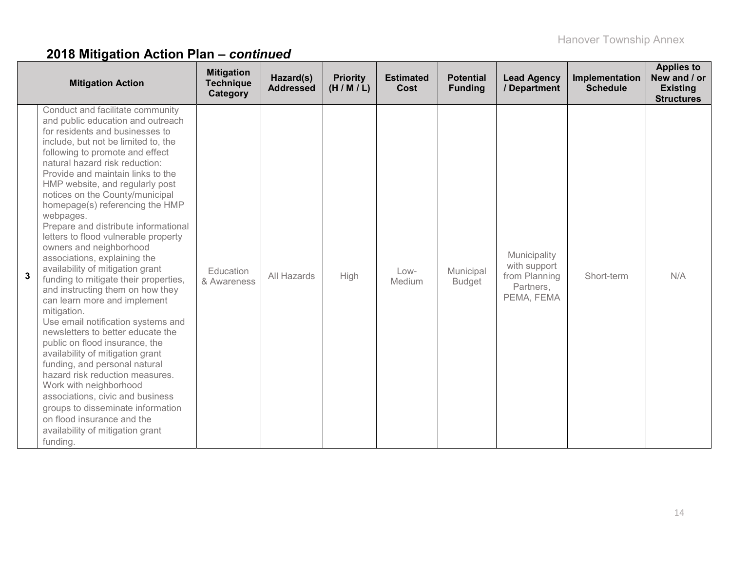| <b>Mitigation Action</b>                                                                                                                                                                                                                                                                                                                                                                                                                                                                                                                                                                                                                                                                                                                                                                                                                                                                                                                                                                                                                                                                                         | <b>Mitigation</b><br><b>Technique</b><br>Category | Hazard(s)<br><b>Addressed</b> | <b>Priority</b><br>(H/M/L) | <b>Estimated</b><br><b>Cost</b> | <b>Potential</b><br><b>Funding</b> | <b>Lead Agency</b><br>/ Department                                       | Implementation<br><b>Schedule</b> | <b>Applies to</b><br>New and / or<br><b>Existing</b><br><b>Structures</b> |
|------------------------------------------------------------------------------------------------------------------------------------------------------------------------------------------------------------------------------------------------------------------------------------------------------------------------------------------------------------------------------------------------------------------------------------------------------------------------------------------------------------------------------------------------------------------------------------------------------------------------------------------------------------------------------------------------------------------------------------------------------------------------------------------------------------------------------------------------------------------------------------------------------------------------------------------------------------------------------------------------------------------------------------------------------------------------------------------------------------------|---------------------------------------------------|-------------------------------|----------------------------|---------------------------------|------------------------------------|--------------------------------------------------------------------------|-----------------------------------|---------------------------------------------------------------------------|
| Conduct and facilitate community<br>and public education and outreach<br>for residents and businesses to<br>include, but not be limited to, the<br>following to promote and effect<br>natural hazard risk reduction:<br>Provide and maintain links to the<br>HMP website, and regularly post<br>notices on the County/municipal<br>homepage(s) referencing the HMP<br>webpages.<br>Prepare and distribute informational<br>letters to flood vulnerable property<br>owners and neighborhood<br>associations, explaining the<br>availability of mitigation grant<br>$\mathbf{3}$<br>funding to mitigate their properties,<br>and instructing them on how they<br>can learn more and implement<br>mitigation.<br>Use email notification systems and<br>newsletters to better educate the<br>public on flood insurance, the<br>availability of mitigation grant<br>funding, and personal natural<br>hazard risk reduction measures.<br>Work with neighborhood<br>associations, civic and business<br>groups to disseminate information<br>on flood insurance and the<br>availability of mitigation grant<br>funding. | Education<br>& Awareness                          | All Hazards                   | High                       | Low-<br>Medium                  | Municipal<br><b>Budget</b>         | Municipality<br>with support<br>from Planning<br>Partners,<br>PEMA, FEMA | Short-term                        | N/A                                                                       |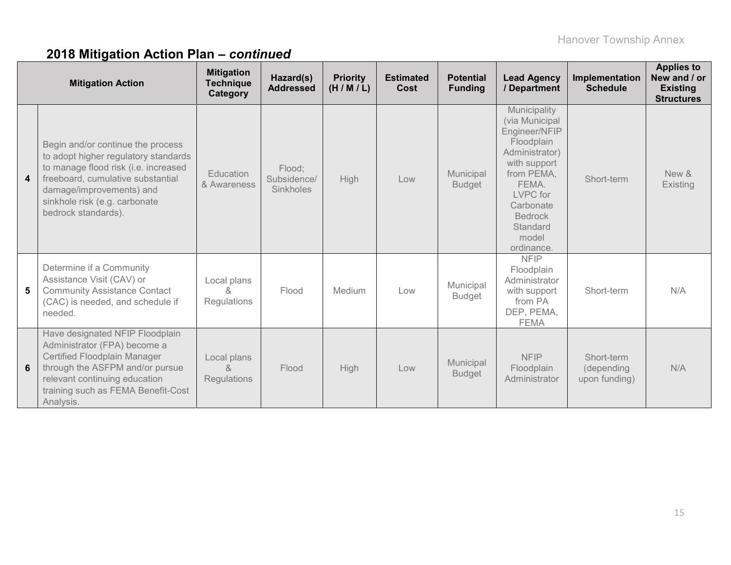|                         | <b>Mitigation Action</b>                                                                                                                                                                                                                   | <b>Mitigation</b><br><b>Technique</b><br>Category | Hazard(s)<br><b>Addressed</b>      | <b>Priority</b><br>(H/M/L) | <b>Estimated</b><br>Cost | <b>Potential</b><br><b>Funding</b> | <b>Lead Agency</b><br>/ Department                                                                                                                                                                   | Implementation<br><b>Schedule</b>         | <b>Applies to</b><br>New and / or<br><b>Existing</b><br><b>Structures</b> |
|-------------------------|--------------------------------------------------------------------------------------------------------------------------------------------------------------------------------------------------------------------------------------------|---------------------------------------------------|------------------------------------|----------------------------|--------------------------|------------------------------------|------------------------------------------------------------------------------------------------------------------------------------------------------------------------------------------------------|-------------------------------------------|---------------------------------------------------------------------------|
| $\overline{\mathbf{4}}$ | Begin and/or continue the process<br>to adopt higher regulatory standards<br>to manage flood risk (i.e. increased<br>freeboard, cumulative substantial<br>damage/improvements) and<br>sinkhole risk (e.g. carbonate<br>bedrock standards). | Education<br>& Awareness                          | Flood;<br>Subsidence/<br>Sinkholes | <b>High</b>                | Low                      | Municipal<br><b>Budget</b>         | Municipality<br>(via Municipal<br>Engineer/NFIP<br>Floodplain<br>Administrator)<br>with support<br>from PEMA,<br>FEMA.<br>LVPC for<br>Carbonate<br><b>Bedrock</b><br>Standard<br>model<br>ordinance. | Short-term                                | New &<br>Existing                                                         |
| 5                       | Determine if a Community<br>Assistance Visit (CAV) or<br><b>Community Assistance Contact</b><br>(CAC) is needed, and schedule if<br>needed.                                                                                                | Local plans<br>ጼ<br><b>Regulations</b>            | Flood                              | Medium                     | Low                      | Municipal<br><b>Budget</b>         | <b>NFIP</b><br>Floodplain<br>Administrator<br>with support<br>from PA<br>DEP, PEMA,<br><b>FEMA</b>                                                                                                   | Short-term                                | N/A                                                                       |
| 6                       | Have designated NFIP Floodplain<br>Administrator (FPA) become a<br>Certified Floodplain Manager<br>through the ASFPM and/or pursue<br>relevant continuing education<br>training such as FEMA Benefit-Cost<br>Analysis.                     | Local plans<br>$\kappa$<br><b>Regulations</b>     | Flood                              | <b>High</b>                | Low                      | Municipal<br><b>Budget</b>         | <b>NFIP</b><br>Floodplain<br>Administrator                                                                                                                                                           | Short-term<br>(depending<br>upon funding) | N/A                                                                       |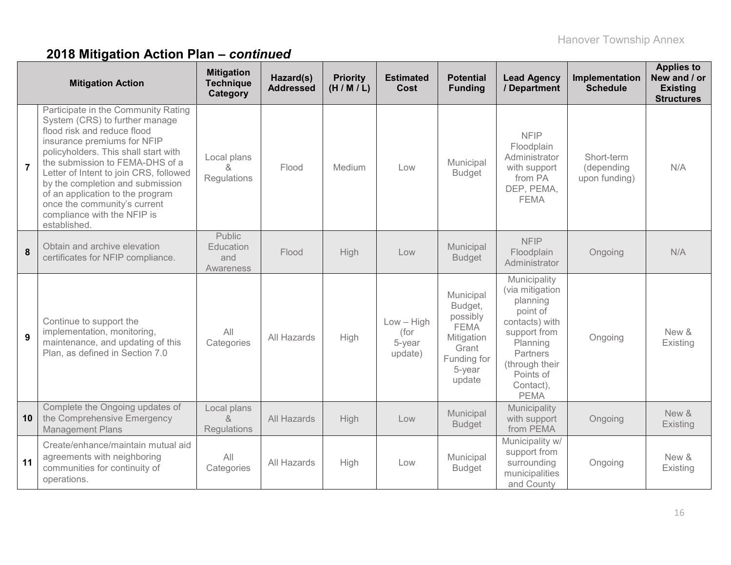|                | <b>Mitigation Action</b>                                                                                                                                                                                                                                                                                                                                                                                        | <b>Mitigation</b><br><b>Technique</b><br>Category | Hazard(s)<br><b>Addressed</b> | <b>Priority</b><br>(H/M/L) | <b>Estimated</b><br>Cost                  | <b>Potential</b><br><b>Funding</b>                                                                        | <b>Lead Agency</b><br>/ Department                                                                                                                                           | Implementation<br><b>Schedule</b>         | <b>Applies to</b><br>New and / or<br><b>Existing</b><br><b>Structures</b> |
|----------------|-----------------------------------------------------------------------------------------------------------------------------------------------------------------------------------------------------------------------------------------------------------------------------------------------------------------------------------------------------------------------------------------------------------------|---------------------------------------------------|-------------------------------|----------------------------|-------------------------------------------|-----------------------------------------------------------------------------------------------------------|------------------------------------------------------------------------------------------------------------------------------------------------------------------------------|-------------------------------------------|---------------------------------------------------------------------------|
| $\overline{7}$ | Participate in the Community Rating<br>System (CRS) to further manage<br>flood risk and reduce flood<br>insurance premiums for NFIP<br>policyholders. This shall start with<br>the submission to FEMA-DHS of a<br>Letter of Intent to join CRS, followed<br>by the completion and submission<br>of an application to the program<br>once the community's current<br>compliance with the NFIP is<br>established. | Local plans<br>&<br>Regulations                   | Flood                         | Medium                     | Low                                       | Municipal<br><b>Budget</b>                                                                                | <b>NFIP</b><br>Floodplain<br>Administrator<br>with support<br>from PA<br>DEP, PEMA,<br><b>FEMA</b>                                                                           | Short-term<br>(depending<br>upon funding) | N/A                                                                       |
| 8              | Obtain and archive elevation<br>certificates for NFIP compliance.                                                                                                                                                                                                                                                                                                                                               | <b>Public</b><br>Education<br>and<br>Awareness    | Flood                         | High                       | Low                                       | Municipal<br><b>Budget</b>                                                                                | <b>NFIP</b><br>Floodplain<br>Administrator                                                                                                                                   | Ongoing                                   | N/A                                                                       |
| 9              | Continue to support the<br>implementation, monitoring,<br>maintenance, and updating of this<br>Plan, as defined in Section 7.0                                                                                                                                                                                                                                                                                  | All<br>Categories                                 | All Hazards                   | High                       | $Low - High$<br>(for<br>5-year<br>update) | Municipal<br>Budget,<br>possibly<br><b>FEMA</b><br>Mitigation<br>Grant<br>Funding for<br>5-year<br>update | Municipality<br>(via mitigation<br>planning<br>point of<br>contacts) with<br>support from<br>Planning<br>Partners<br>(through their<br>Points of<br>Contact),<br><b>PEMA</b> | Ongoing                                   | New &<br>Existing                                                         |
| 10             | Complete the Ongoing updates of<br>the Comprehensive Emergency<br><b>Management Plans</b>                                                                                                                                                                                                                                                                                                                       | Local plans<br>$\lambda$<br><b>Regulations</b>    | All Hazards                   | High                       | Low                                       | Municipal<br><b>Budget</b>                                                                                | Municipality<br>with support<br>from PEMA                                                                                                                                    | Ongoing                                   | New &<br>Existing                                                         |
| 11             | Create/enhance/maintain mutual aid<br>agreements with neighboring<br>communities for continuity of<br>operations.                                                                                                                                                                                                                                                                                               | All<br>Categories                                 | All Hazards                   | High                       | Low                                       | Municipal<br><b>Budget</b>                                                                                | Municipality w/<br>support from<br>surrounding<br>municipalities<br>and County                                                                                               | Ongoing                                   | New &<br>Existing                                                         |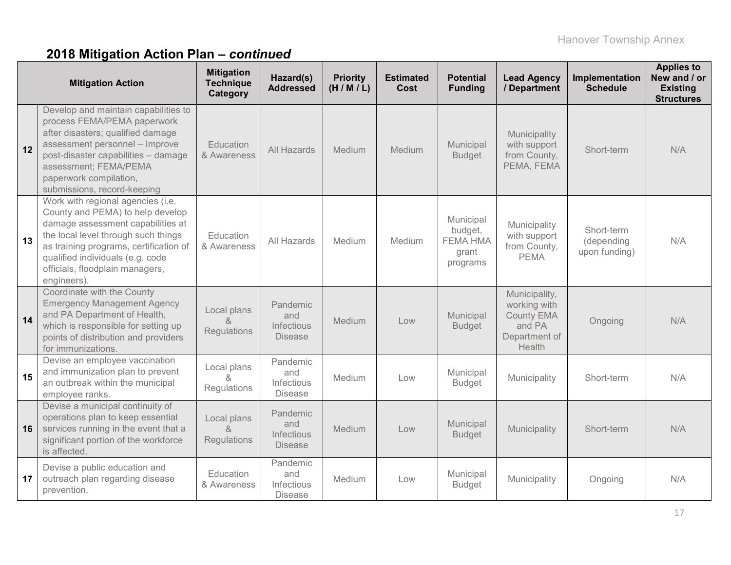|    | <b>Mitigation Action</b>                                                                                                                                                                                                                                                          | <b>Mitigation</b><br><b>Technique</b><br>Category | Hazard(s)<br><b>Addressed</b>                   | <b>Priority</b><br>(H/M/L) | <b>Estimated</b><br>Cost | <b>Potential</b><br><b>Funding</b>                           | <b>Lead Agency</b><br>/ Department                                                      | Implementation<br><b>Schedule</b>         | <b>Applies to</b><br>New and / or<br><b>Existing</b><br><b>Structures</b> |
|----|-----------------------------------------------------------------------------------------------------------------------------------------------------------------------------------------------------------------------------------------------------------------------------------|---------------------------------------------------|-------------------------------------------------|----------------------------|--------------------------|--------------------------------------------------------------|-----------------------------------------------------------------------------------------|-------------------------------------------|---------------------------------------------------------------------------|
| 12 | Develop and maintain capabilities to<br>process FEMA/PEMA paperwork<br>after disasters; qualified damage<br>assessment personnel - Improve<br>post-disaster capabilities - damage<br>assessment; FEMA/PEMA<br>paperwork compilation,<br>submissions, record-keeping               | Education<br>& Awareness                          | All Hazards                                     | Medium                     | <b>Medium</b>            | Municipal<br><b>Budget</b>                                   | Municipality<br>with support<br>from County,<br>PEMA, FEMA                              | Short-term                                | N/A                                                                       |
| 13 | Work with regional agencies (i.e.<br>County and PEMA) to help develop<br>damage assessment capabilities at<br>the local level through such things<br>as training programs, certification of<br>qualified individuals (e.g. code<br>officials, floodplain managers,<br>engineers). | Education<br>& Awareness                          | All Hazards                                     | Medium                     | Medium                   | Municipal<br>budget,<br><b>FEMA HMA</b><br>grant<br>programs | Municipality<br>with support<br>from County,<br><b>PEMA</b>                             | Short-term<br>(depending<br>upon funding) | N/A                                                                       |
| 14 | Coordinate with the County<br><b>Emergency Management Agency</b><br>and PA Department of Health,<br>which is responsible for setting up<br>points of distribution and providers<br>for immunizations.                                                                             | Local plans<br>$\kappa$<br>Regulations            | Pandemic<br>and<br>Infectious<br><b>Disease</b> | Medium                     | Low                      | Municipal<br><b>Budget</b>                                   | Municipality,<br>working with<br><b>County EMA</b><br>and PA<br>Department of<br>Health | Ongoing                                   | N/A                                                                       |
| 15 | Devise an employee vaccination<br>and immunization plan to prevent<br>an outbreak within the municipal<br>employee ranks.                                                                                                                                                         | Local plans<br>$\lambda$<br>Regulations           | Pandemic<br>and<br>Infectious<br><b>Disease</b> | Medium                     | Low                      | Municipal<br><b>Budget</b>                                   | Municipality                                                                            | Short-term                                | N/A                                                                       |
| 16 | Devise a municipal continuity of<br>operations plan to keep essential<br>services running in the event that a<br>significant portion of the workforce<br>is affected.                                                                                                             | Local plans<br>$\alpha$<br>Regulations            | Pandemic<br>and<br>Infectious<br><b>Disease</b> | Medium                     | Low                      | Municipal<br><b>Budget</b>                                   | Municipality                                                                            | Short-term                                | N/A                                                                       |
| 17 | Devise a public education and<br>outreach plan regarding disease<br>prevention.                                                                                                                                                                                                   | Education<br>& Awareness                          | Pandemic<br>and<br>Infectious<br><b>Disease</b> | Medium                     | Low                      | Municipal<br><b>Budget</b>                                   | Municipality                                                                            | Ongoing                                   | N/A                                                                       |